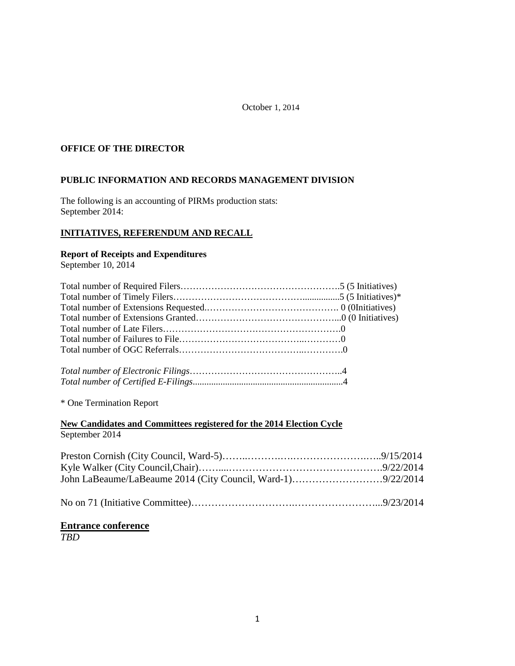#### October 1, 2014

## **OFFICE OF THE DIRECTOR**

#### **PUBLIC INFORMATION AND RECORDS MANAGEMENT DIVISION**

The following is an accounting of PIRMs production stats: September 2014:

# **INITIATIVES, REFERENDUM AND RECALL**

#### **Report of Receipts and Expenditures**

September 10, 2014

\* One Termination Report

# **New Candidates and Committees registered for the 2014 Election Cycle** September 2014

|--|--|

# **Entrance conference**

*TBD*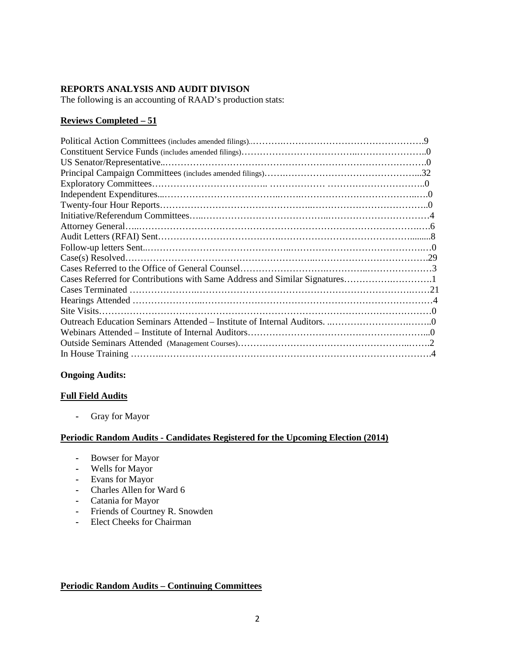#### **REPORTS ANALYSIS AND AUDIT DIVISON**

The following is an accounting of RAAD's production stats:

## **Reviews Completed – 51**

#### **Ongoing Audits:**

#### **Full Field Audits**

**-** Gray for Mayor

#### **Periodic Random Audits - Candidates Registered for the Upcoming Election (2014)**

- **-** Bowser for Mayor
- **-** Wells for Mayor
- **-** Evans for Mayor
- **-** Charles Allen for Ward 6
- **-** Catania for Mayor
- **-** Friends of Courtney R. Snowden
- **-** Elect Cheeks for Chairman

#### **Periodic Random Audits – Continuing Committees**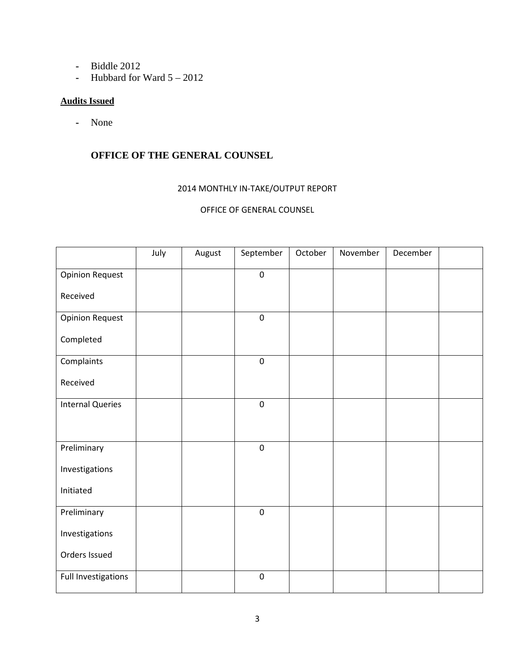- **-** Biddle 2012
- **-** Hubbard for Ward 5 2012

#### **Audits Issued**

**-** None

# **OFFICE OF THE GENERAL COUNSEL**

#### 2014 MONTHLY IN-TAKE/OUTPUT REPORT

# OFFICE OF GENERAL COUNSEL

|                         | July | August | September        | October | November | December |  |
|-------------------------|------|--------|------------------|---------|----------|----------|--|
| <b>Opinion Request</b>  |      |        | $\pmb{0}$        |         |          |          |  |
| Received                |      |        |                  |         |          |          |  |
| <b>Opinion Request</b>  |      |        | $\boldsymbol{0}$ |         |          |          |  |
| Completed               |      |        |                  |         |          |          |  |
| Complaints              |      |        | $\boldsymbol{0}$ |         |          |          |  |
| Received                |      |        |                  |         |          |          |  |
| <b>Internal Queries</b> |      |        | $\boldsymbol{0}$ |         |          |          |  |
|                         |      |        |                  |         |          |          |  |
| Preliminary             |      |        | $\pmb{0}$        |         |          |          |  |
| Investigations          |      |        |                  |         |          |          |  |
| Initiated               |      |        |                  |         |          |          |  |
| Preliminary             |      |        | $\pmb{0}$        |         |          |          |  |
| Investigations          |      |        |                  |         |          |          |  |
| Orders Issued           |      |        |                  |         |          |          |  |
| Full Investigations     |      |        | $\pmb{0}$        |         |          |          |  |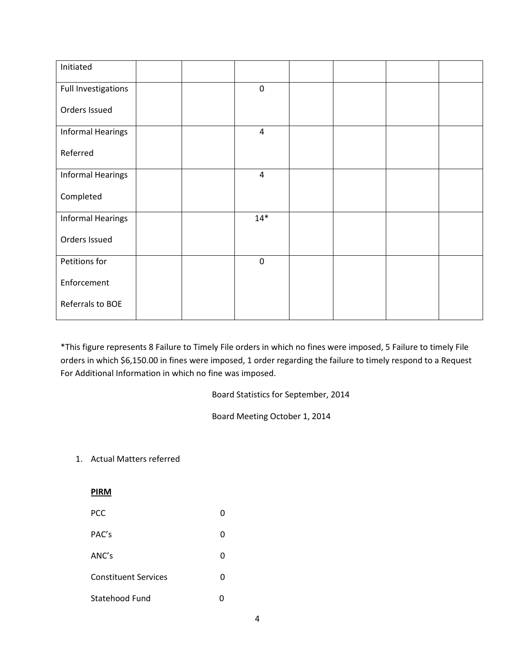| Initiated                |  |                |  |  |
|--------------------------|--|----------------|--|--|
| Full Investigations      |  | $\pmb{0}$      |  |  |
| Orders Issued            |  |                |  |  |
| <b>Informal Hearings</b> |  | $\overline{4}$ |  |  |
| Referred                 |  |                |  |  |
| <b>Informal Hearings</b> |  | $\overline{4}$ |  |  |
| Completed                |  |                |  |  |
| <b>Informal Hearings</b> |  | $14*$          |  |  |
| Orders Issued            |  |                |  |  |
| Petitions for            |  | $\pmb{0}$      |  |  |
| Enforcement              |  |                |  |  |
| Referrals to BOE         |  |                |  |  |

\*This figure represents 8 Failure to Timely File orders in which no fines were imposed, 5 Failure to timely File orders in which \$6,150.00 in fines were imposed, 1 order regarding the failure to timely respond to a Request For Additional Information in which no fine was imposed.

Board Statistics for September, 2014

Board Meeting October 1, 2014

1. Actual Matters referred

| <b>PIRM</b>                 |   |
|-----------------------------|---|
| <b>PCC</b>                  | 0 |
| PAC's                       | O |
| ANC's                       | 0 |
| <b>Constituent Services</b> | O |
| Statehood Fund              | n |
|                             |   |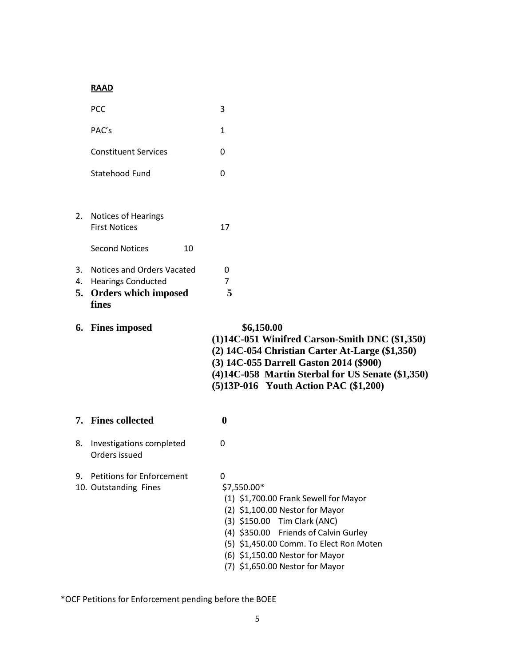# **RAAD**

|    | <b>PCC</b>                                                                                     | 3                                                                                                                                                                                                                                                                                      |
|----|------------------------------------------------------------------------------------------------|----------------------------------------------------------------------------------------------------------------------------------------------------------------------------------------------------------------------------------------------------------------------------------------|
|    | PAC's                                                                                          | $\mathbf{1}$                                                                                                                                                                                                                                                                           |
|    | <b>Constituent Services</b>                                                                    | 0                                                                                                                                                                                                                                                                                      |
|    | Statehood Fund                                                                                 | $\Omega$                                                                                                                                                                                                                                                                               |
|    | 2. Notices of Hearings<br><b>First Notices</b>                                                 | 17                                                                                                                                                                                                                                                                                     |
|    | <b>Second Notices</b><br>10                                                                    |                                                                                                                                                                                                                                                                                        |
| 3. | <b>Notices and Orders Vacated</b><br>4. Hearings Conducted<br>5. Orders which imposed<br>fines | 0<br>$\overline{7}$<br>5                                                                                                                                                                                                                                                               |
|    | 6. Fines imposed                                                                               | \$6,150.00<br>$(1)14C-051$ Winifred Carson-Smith DNC $(\$1,350)$<br>(2) 14C-054 Christian Carter At-Large (\$1,350)<br>(3) 14C-055 Darrell Gaston 2014 (\$900)<br>(4)14C-058 Martin Sterbal for US Senate (\$1,350)<br>(5)13P-016 Youth Action PAC (\$1,200)                           |
|    | 7. Fines collected                                                                             | $\boldsymbol{0}$                                                                                                                                                                                                                                                                       |
| 8. | Investigations completed<br>Orders issued                                                      | 0                                                                                                                                                                                                                                                                                      |
|    | 9. Petitions for Enforcement<br>10. Outstanding Fines                                          | 0<br>\$7,550.00*<br>(1) \$1,700.00 Frank Sewell for Mayor<br>(2) \$1,100.00 Nestor for Mayor<br>(3) \$150.00 Tim Clark (ANC)<br>(4) \$350.00 Friends of Calvin Gurley<br>(5) \$1,450.00 Comm. To Elect Ron Moten<br>(6) \$1,150.00 Nestor for Mayor<br>(7) \$1,650.00 Nestor for Mayor |

\*OCF Petitions for Enforcement pending before the BOEE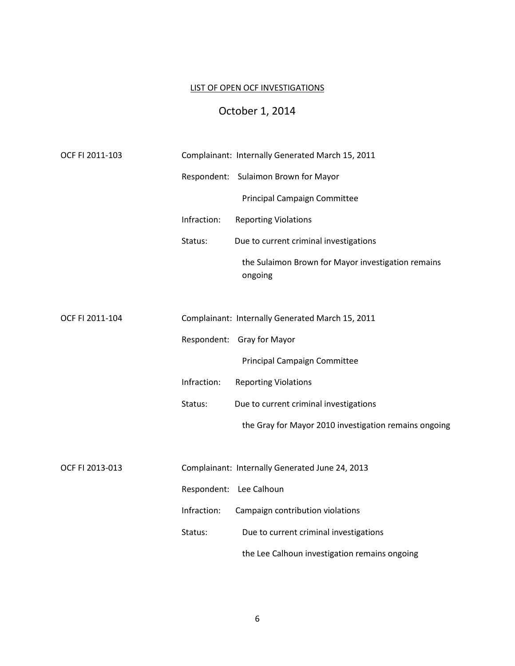# LIST OF OPEN OCF INVESTIGATIONS

# October 1, 2014

| OCF FI 2011-103 |             | Complainant: Internally Generated March 15, 2011              |
|-----------------|-------------|---------------------------------------------------------------|
|                 |             | Respondent: Sulaimon Brown for Mayor                          |
|                 |             | <b>Principal Campaign Committee</b>                           |
|                 | Infraction: | <b>Reporting Violations</b>                                   |
|                 | Status:     | Due to current criminal investigations                        |
|                 |             | the Sulaimon Brown for Mayor investigation remains<br>ongoing |
|                 |             |                                                               |
| OCF FI 2011-104 |             | Complainant: Internally Generated March 15, 2011              |
|                 |             | Respondent: Gray for Mayor                                    |
|                 |             | <b>Principal Campaign Committee</b>                           |
|                 | Infraction: | <b>Reporting Violations</b>                                   |
|                 | Status:     | Due to current criminal investigations                        |
|                 |             | the Gray for Mayor 2010 investigation remains ongoing         |
|                 |             |                                                               |
| OCF FI 2013-013 |             | Complainant: Internally Generated June 24, 2013               |
|                 |             | Respondent: Lee Calhoun                                       |
|                 | Infraction: | Campaign contribution violations                              |
|                 | Status:     | Due to current criminal investigations                        |
|                 |             | the Lee Calhoun investigation remains ongoing                 |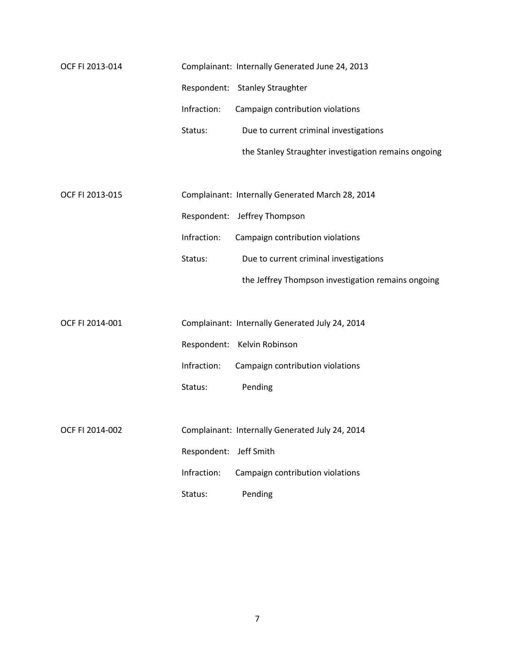| OCF FI 2013-014 |                        | Complainant: Internally Generated June 24, 2013      |
|-----------------|------------------------|------------------------------------------------------|
|                 |                        | Respondent: Stanley Straughter                       |
|                 | Infraction:            | Campaign contribution violations                     |
|                 | Status:                | Due to current criminal investigations               |
|                 |                        | the Stanley Straughter investigation remains ongoing |
|                 |                        |                                                      |
| OCF FI 2013-015 |                        | Complainant: Internally Generated March 28, 2014     |
|                 |                        | Respondent: Jeffrey Thompson                         |
|                 | Infraction:            | Campaign contribution violations                     |
|                 | Status:                | Due to current criminal investigations               |
|                 |                        | the Jeffrey Thompson investigation remains ongoing   |
|                 |                        |                                                      |
| OCF FI 2014-001 |                        | Complainant: Internally Generated July 24, 2014      |
|                 |                        | Respondent: Kelvin Robinson                          |
|                 | Infraction:            | Campaign contribution violations                     |
|                 | Status:                | Pending                                              |
|                 |                        |                                                      |
| OCF FI 2014-002 |                        | Complainant: Internally Generated July 24, 2014      |
|                 | Respondent: Jeff Smith |                                                      |
|                 | Infraction:            | Campaign contribution violations                     |
|                 | Status:                | Pending                                              |